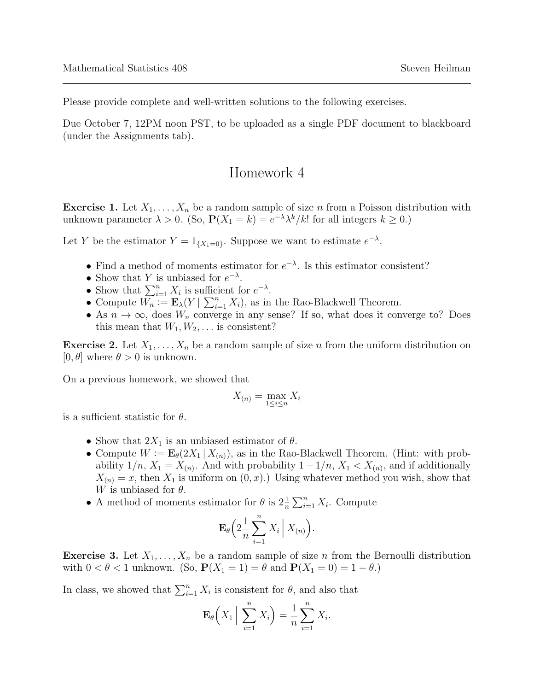Please provide complete and well-written solutions to the following exercises.

Due October 7, 12PM noon PST, to be uploaded as a single PDF document to blackboard (under the Assignments tab).

## Homework 4

**Exercise 1.** Let  $X_1, \ldots, X_n$  be a random sample of size n from a Poisson distribution with unknown parameter  $\lambda > 0$ . (So,  $P(X_1 = k) = e^{-\lambda} \lambda^k / k!$  for all integers  $k \ge 0$ .)

Let Y be the estimator  $Y = 1_{\{X_1 = 0\}}$ . Suppose we want to estimate  $e^{-\lambda}$ .

- Find a method of moments estimator for  $e^{-\lambda}$ . Is this estimator consistent?
- Show that Y is unbiased for  $e^{-\lambda}$ .
- Show that  $\sum_{i=1}^{n} X_i$  is sufficient for  $e^{-\lambda}$ .
- Compute  $W_n := \mathbf{E}_{\lambda}(Y | \sum_{i=1}^n X_i)$ , as in the Rao-Blackwell Theorem.
- As  $n \to \infty$ , does  $W_n$  converge in any sense? If so, what does it converge to? Does this mean that  $W_1, W_2, \ldots$  is consistent?

**Exercise 2.** Let  $X_1, \ldots, X_n$  be a random sample of size n from the uniform distribution on  $[0, \theta]$  where  $\theta > 0$  is unknown.

On a previous homework, we showed that

$$
X_{(n)} = \max_{1 \le i \le n} X_i
$$

is a sufficient statistic for  $\theta$ .

- Show that  $2X_1$  is an unbiased estimator of  $\theta$ .
- Compute  $W := \mathbf{E}_{\theta}(2X_1 | X_{(n)})$ , as in the Rao-Blackwell Theorem. (Hint: with probability  $1/n$ ,  $X_1 = X_{(n)}$ . And with probability  $1 - 1/n$ ,  $X_1 < X_{(n)}$ , and if additionally  $X_{(n)} = x$ , then  $X_1$  is uniform on  $(0, x)$ .) Using whatever method you wish, show that W is unbiased for  $\theta$ .
- A method of moments estimator for  $\theta$  is  $2\frac{1}{n}\sum_{i=1}^{n} X_i$ . Compute

$$
\mathbf{E}_{\theta}\left(2\frac{1}{n}\sum_{i=1}^n X_i \mid X_{(n)}\right).
$$

**Exercise 3.** Let  $X_1, \ldots, X_n$  be a random sample of size n from the Bernoulli distribution with  $0 < \theta < 1$  unknown. (So,  $\mathbf{P}(X_1 = 1) = \theta$  and  $\mathbf{P}(X_1 = 0) = 1 - \theta$ .)

In class, we showed that  $\sum_{i=1}^{n} X_i$  is consistent for  $\theta$ , and also that

$$
\mathbf{E}_{\theta}\left(X_1 \Big| \sum_{i=1}^n X_i\right) = \frac{1}{n} \sum_{i=1}^n X_i.
$$